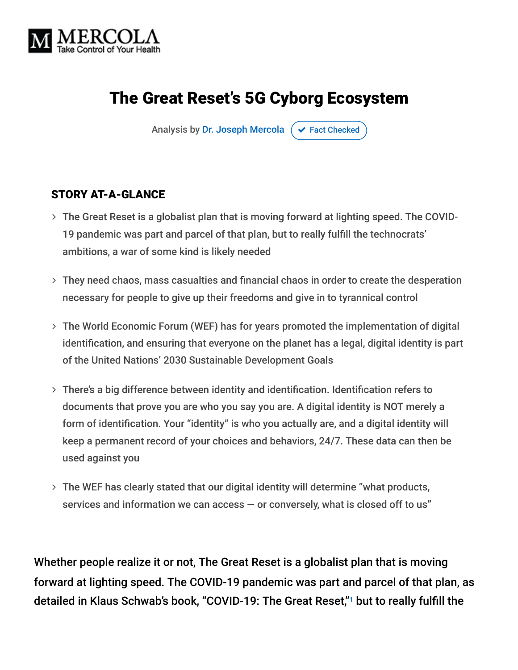

## The Great Reset's 5G Cyborg Ecosystem

Analysis by [Dr. Joseph Mercola](https://www.mercola.com/forms/background.htm)  $\sigma$  [Fact Checked](javascript:void(0))

#### STORY AT-A-GLANCE

- The Great Reset is a globalist plan that is moving forward at lighting speed. The COVID- 19 pandemic was part and parcel of that plan, but to really fulfill the technocrats' ambitions, a war of some kind is likely needed
- They need chaos, mass casualties and financial chaos in order to create the desperation necessary for people to give up their freedoms and give in to tyrannical control
- The World Economic Forum (WEF) has for years promoted the implementation of digital identification, and ensuring that everyone on the planet has a legal, digital identity is part of the United Nations' 2030 Sustainable Development Goals
- There's a big difference between identity and identification. Identification refers to documents that prove you are who you say you are. A digital identity is NOT merely a form of identification. Your "identity" is who you actually are, and a digital identity will keep a permanent record of your choices and behaviors, 24/7. These data can then be used against you
- The WEF has clearly stated that our digital identity will determine "what products, services and information we can access — or conversely, what is closed off to us"

Whether people realize it or not, The Great Reset is a globalist plan that is moving forward at lighting speed. The COVID-19 pandemic was part and parcel of that plan, as detailed in Klaus Schwab's book, "COVID-19: The Great Reset,"1 but to really fulfill the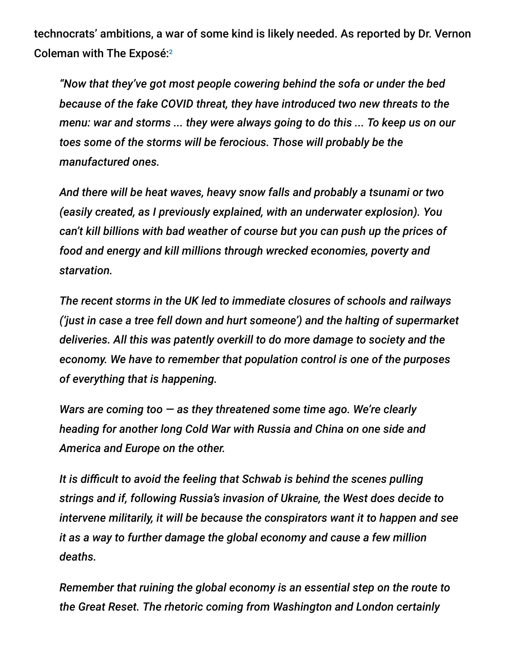technocrats' ambitions, a war of some kind is likely needed. As reported by Dr. Vernon Coleman with The Exposé: 2

*"Now that they've got most people cowering behind the sofa or under the bed because of the fake COVID threat, they have introduced two new threats to the menu: war and storms ... they were always going to do this ... To keep us on our toes some of the storms will be ferocious. Those will probably be the manufactured ones.*

*And there will be heat waves, heavy snow falls and probably a tsunami or two (easily created, as I previously explained, with an underwater explosion). You can't kill billions with bad weather of course but you can push up the prices of food and energy and kill millions through wrecked economies, poverty and starvation.*

*The recent storms in the UK led to immediate closures of schools and railways ('just in case a tree fell down and hurt someone') and the halting of supermarket deliveries. All this was patently overkill to do more damage to society and the economy. We have to remember that population control is one of the purposes of everything that is happening.*

*Wars are coming too — as they threatened some time ago. We're clearly heading for another long Cold War with Russia and China on one side and America and Europe on the other.*

*It is difficult to avoid the feeling that Schwab is behind the scenes pulling strings and if, following Russia's invasion of Ukraine, the West does decide to intervene militarily, it will be because the conspirators want it to happen and see it as a way to further damage the global economy and cause a few million deaths.*

*Remember that ruining the global economy is an essential step on the route to the Great Reset. The rhetoric coming from Washington and London certainly*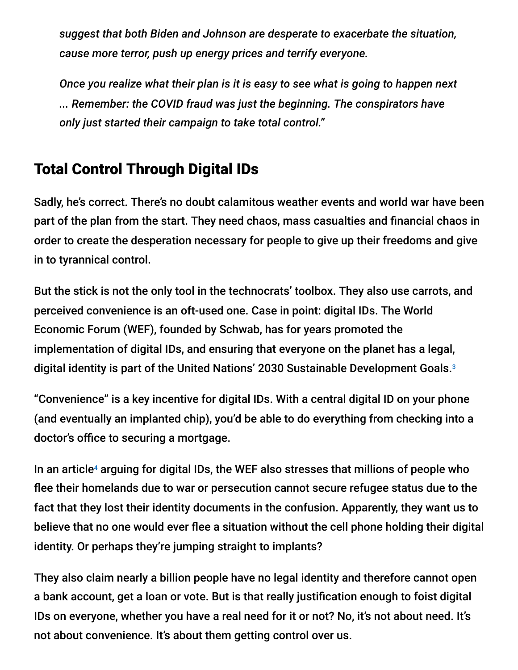*suggest that both Biden and Johnson are desperate to exacerbate the situation, cause more terror, push up energy prices and terrify everyone.*

*Once you realize what their plan is it is easy to see what is going to happen next ... Remember: the COVID fraud was just the beginning. The conspirators have only just started their campaign to take total control."*

### Total Control Through Digital IDs

Sadly, he's correct. There's no doubt calamitous weather events and world war have been part of the plan from the start. They need chaos, mass casualties and financial chaos in order to create the desperation necessary for people to give up their freedoms and give in to tyrannical control.

But the stick is not the only tool in the technocrats' toolbox. They also use carrots, and perceived convenience is an oft-used one. Case in point: digital IDs. The World Economic Forum (WEF), founded by Schwab, has for years promoted the implementation of digital IDs, and ensuring that everyone on the planet has a legal, digital identity is part of the United Nations' 2030 Sustainable Development Goals. 3

"Convenience" is a key incentive for digital IDs. With a central digital ID on your phone (and eventually an implanted chip), you'd be able to do everything from checking into a doctor's office to securing a mortgage.

In an article<sup>4</sup> arguing for digital IDs, the WEF also stresses that millions of people who flee their homelands due to war or persecution cannot secure refugee status due to the fact that they lost their identity documents in the confusion. Apparently, they want us to believe that no one would ever flee a situation without the cell phone holding their digital identity. Or perhaps they're jumping straight to implants?

They also claim nearly a billion people have no legal identity and therefore cannot open a bank account, get a loan or vote. But is that really justification enough to foist digital IDs on everyone, whether you have a real need for it or not? No, it's not about need. It's not about convenience. It's about them getting control over us.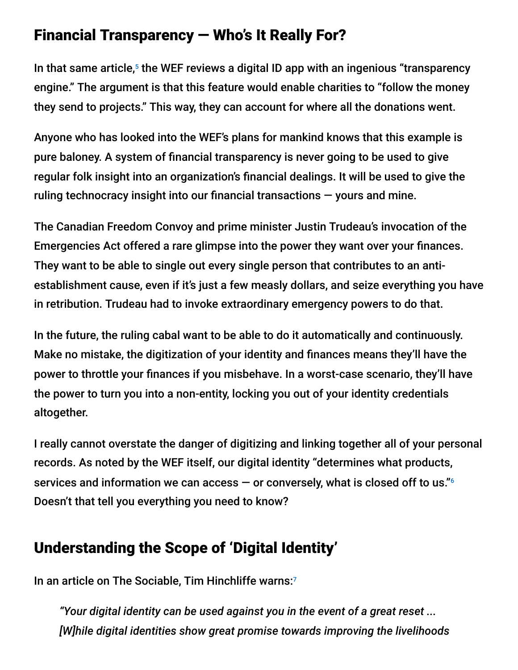### Financial Transparency — Who's It Really For?

In that same article,<sup>5</sup> the WEF reviews a digital ID app with an ingenious "transparency engine." The argument is that this feature would enable charities to "follow the money they send to projects." This way, they can account for where all the donations went.

Anyone who has looked into the WEF's plans for mankind knows that this example is pure baloney. A system of financial transparency is never going to be used to give regular folk insight into an organization's financial dealings. It will be used to give the ruling technocracy insight into our financial transactions — yours and mine.

The Canadian Freedom Convoy and prime minister Justin Trudeau's invocation of the Emergencies Act offered a rare glimpse into the power they want over your finances. They want to be able to single out every single person that contributes to an antiestablishment cause, even if it's just a few measly dollars, and seize everything you have in retribution. Trudeau had to invoke extraordinary emergency powers to do that.

In the future, the ruling cabal want to be able to do it automatically and continuously. Make no mistake, the digitization of your identity and finances means they'll have the power to throttle your finances if you misbehave. In a worst-case scenario, they'll have the power to turn you into a non-entity, locking you out of your identity credentials altogether.

I really cannot overstate the danger of digitizing and linking together all of your personal records. As noted by the WEF itself, our digital identity "determines what products, services and information we can access — or conversely, what is closed off to us." 6 Doesn't that tell you everything you need to know?

### Understanding the Scope of 'Digital Identity'

In an article on The Sociable, Tim Hinchliffe warns: 7

*"Your digital identity can be used against you in the event of a great reset ... [W]hile digital identities show great promise towards improving the livelihoods*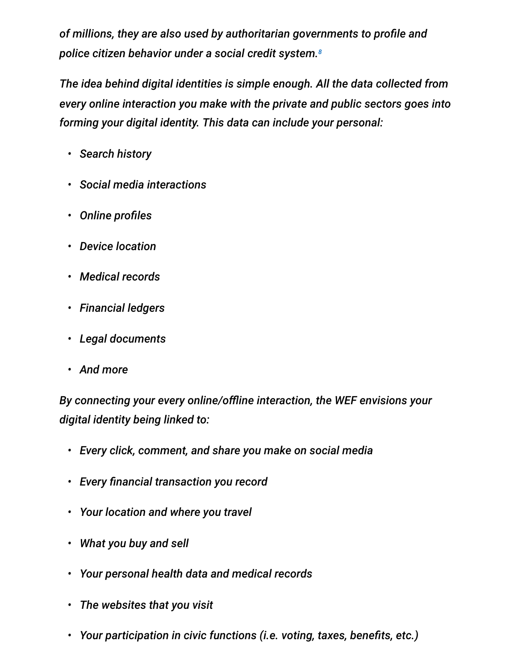*of millions, they are also used by authoritarian governments to profile and police citizen behavior under a social credit system. 8*

*The idea behind digital identities is simple enough. All the data collected from every online interaction you make with the private and public sectors goes into forming your digital identity. This data can include your personal:*

- *• Search history*
- *• Social media interactions*
- *• Online profiles*
- *• Device location*
- *• Medical records*
- *• Financial ledgers*
- *• Legal documents*
- *• And more*

*By connecting your every online/offline interaction, the WEF envisions your digital identity being linked to:*

- *• Every click, comment, and share you make on social media*
- *• Every financial transaction you record*
- *• Your location and where you travel*
- *• What you buy and sell*
- *• Your personal health data and medical records*
- *• The websites that you visit*
- *• Your participation in civic functions (i.e. voting, taxes, benefits, etc.)*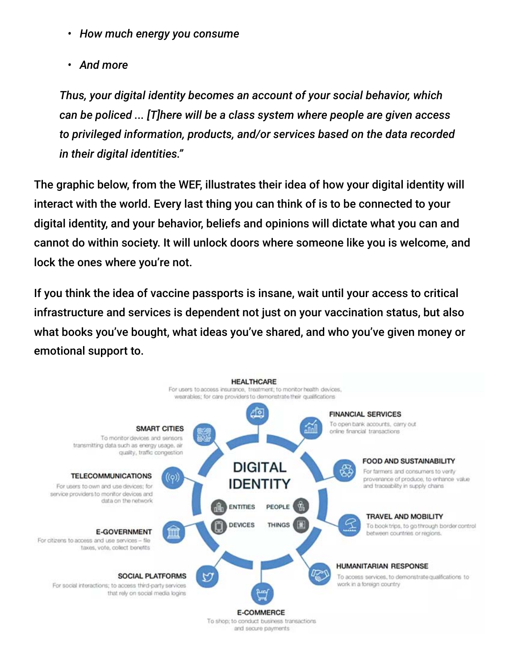- *• How much energy you consume*
- *• And more*

*Thus, your digital identity becomes an account of your social behavior, which can be policed ... [T]here will be a class system where people are given access to privileged information, products, and/or services based on the data recorded in their digital identities."*

The graphic below, from the WEF, illustrates their idea of how your digital identity will interact with the world. Every last thing you can think of is to be connected to your digital identity, and your behavior, beliefs and opinions will dictate what you can and cannot do within society. It will unlock doors where someone like you is welcome, and lock the ones where you're not.

If you think the idea of vaccine passports is insane, wait until your access to critical infrastructure and services is dependent not just on your vaccination status, but also what books you've bought, what ideas you've shared, and who you've given money or emotional support to.



To shop; to conduct business transactions and secure payments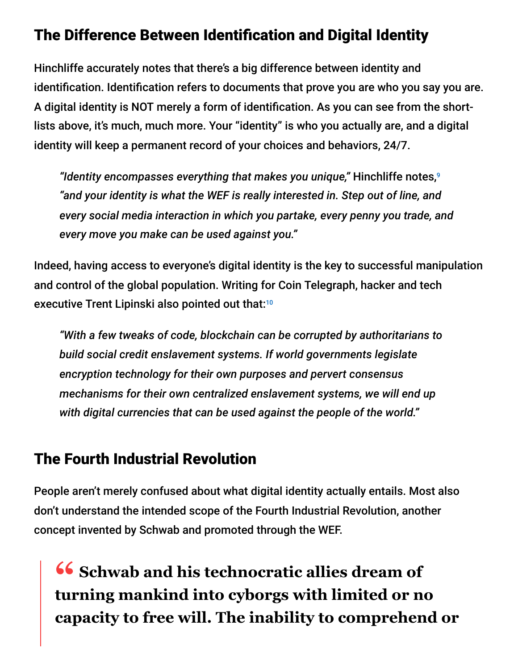### The Difference Between Identification and Digital Identity

Hinchliffe accurately notes that there's a big difference between identity and identification. Identification refers to documents that prove you are who you say you are. A digital identity is NOT merely a form of identification. As you can see from the shortlists above, it's much, much more. Your "identity" is who you actually are, and a digital identity will keep a permanent record of your choices and behaviors, 24/7.

*"Identity encompasses everything that makes you unique,"* Hinchliffe notes, 9 *"and your identity is what the WEF is really interested in. Step out of line, and every social media interaction in which you partake, every penny you trade, and every move you make can be used against you."*

Indeed, having access to everyone's digital identity is the key to successful manipulation and control of the global population. Writing for Coin Telegraph, hacker and tech executive Trent Lipinski also pointed out that:<sup>10</sup>

*"With a few tweaks of code, blockchain can be corrupted by authoritarians to build social credit enslavement systems. If world governments legislate encryption technology for their own purposes and pervert consensus mechanisms for their own centralized enslavement systems, we will end up with digital currencies that can be used against the people of the world."*

#### The Fourth Industrial Revolution

People aren't merely confused about what digital identity actually entails. Most also don't understand the intended scope of the Fourth Industrial Revolution, another concept invented by Schwab and promoted through the WEF.

**16** Schwab and his technocratic allies dream of<br>**Turning mankind into cyborgs with limited or n turning mankind into cyborgs with limited or no capacity to free will. The inability to comprehend or**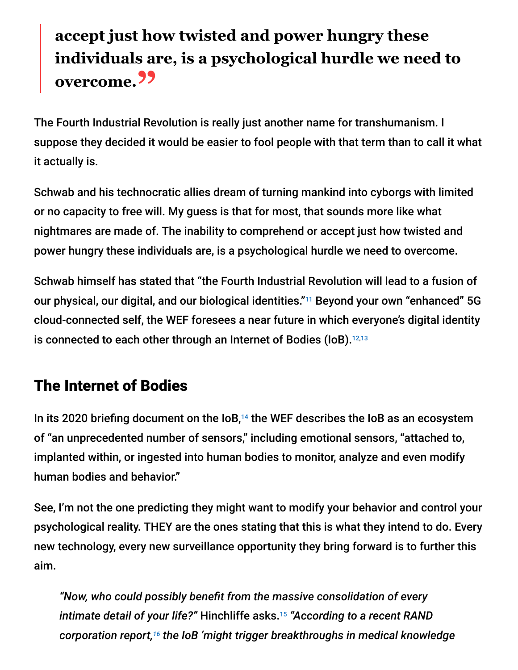# **accept just how twisted and power hungry these individuals are, is a psychological hurdle we need to overcome."**

The Fourth Industrial Revolution is really just another name for transhumanism. I suppose they decided it would be easier to fool people with that term than to call it what it actually is.

Schwab and his technocratic allies dream of turning mankind into cyborgs with limited or no capacity to free will. My guess is that for most, that sounds more like what nightmares are made of. The inability to comprehend or accept just how twisted and power hungry these individuals are, is a psychological hurdle we need to overcome.

Schwab himself has stated that "the Fourth Industrial Revolution will lead to a fusion of our physical, our digital, and our biological identities."<sup>11</sup> Beyond your own "enhanced" 5G cloud-connected self, the WEF foresees a near future in which everyone's digital identity is connected to each other through an Internet of Bodies (IoB). 12,13

## The Internet of Bodies

In its 2020 briefing document on the  $I_0$ <sup>14</sup> the WEF describes the IoB as an ecosystem of "an unprecedented number of sensors," including emotional sensors, "attached to, implanted within, or ingested into human bodies to monitor, analyze and even modify human bodies and behavior."

See, I'm not the one predicting they might want to modify your behavior and control your psychological reality. THEY are the ones stating that this is what they intend to do. Every new technology, every new surveillance opportunity they bring forward is to further this aim.

*"Now, who could possibly benefit from the massive consolidation of every intimate detail of your life?"* Hinchliffe asks. *"According to a recent RAND* 15 *corporation report, the IoB 'might trigger breakthroughs in medical knowledge 16*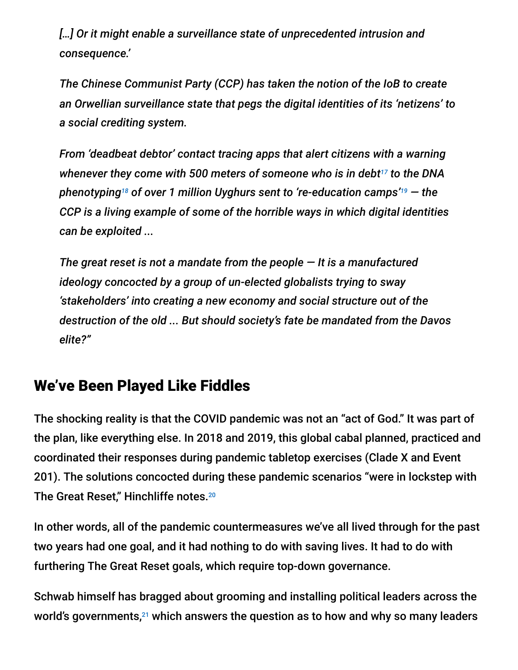*[…] Or it might enable a surveillance state of unprecedented intrusion and consequence.'*

*The Chinese Communist Party (CCP) has taken the notion of the IoB to create an Orwellian surveillance state that pegs the digital identities of its 'netizens' to a social crediting system.*

*From 'deadbeat debtor' contact tracing apps that alert citizens with a warning* whenever they come with 500 meters of someone who is in debt<sup>17</sup> to the DNA phenotyping18 of over 1 million Uyghurs sent to 're-education camps'19 — the *CCP is a living example of some of the horrible ways in which digital identities can be exploited ...*

*The great reset is not a mandate from the people — It is a manufactured ideology concocted by a group of un-elected globalists trying to sway 'stakeholders' into creating a new economy and social structure out of the destruction of the old ... But should society's fate be mandated from the Davos elite?"*

### We've Been Played Like Fiddles

The shocking reality is that the COVID pandemic was not an "act of God." It was part of the plan, like everything else. In 2018 and 2019, this global cabal planned, practiced and coordinated their responses during pandemic tabletop exercises (Clade X and Event 201). The solutions concocted during these pandemic scenarios "were in lockstep with The Great Reset," Hinchliffe notes. 20

In other words, all of the pandemic countermeasures we've all lived through for the past two years had one goal, and it had nothing to do with saving lives. It had to do with furthering The Great Reset goals, which require top-down governance.

Schwab himself has bragged about grooming and installing political leaders across the world's governments, $^{21}$  which answers the question as to how and why so many leaders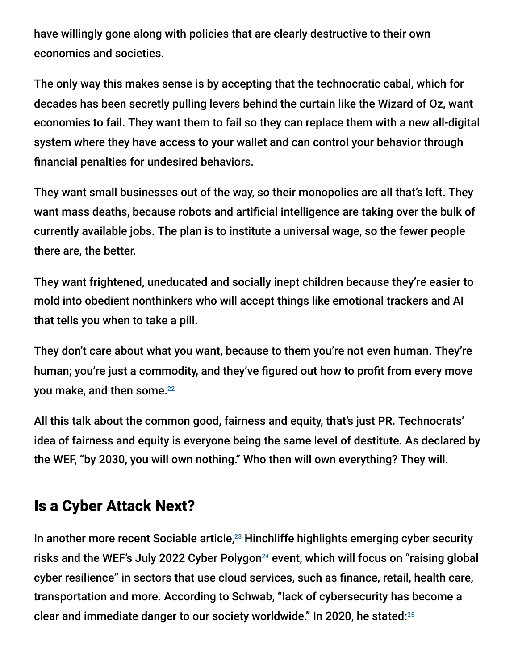have willingly gone along with policies that are clearly destructive to their own economies and societies.

The only way this makes sense is by accepting that the technocratic cabal, which for decades has been secretly pulling levers behind the curtain like the Wizard of Oz, want economies to fail. They want them to fail so they can replace them with a new all-digital system where they have access to your wallet and can control your behavior through financial penalties for undesired behaviors.

They want small businesses out of the way, so their monopolies are all that's left. They want mass deaths, because robots and artificial intelligence are taking over the bulk of currently available jobs. The plan is to institute a universal wage, so the fewer people there are, the better.

They want frightened, uneducated and socially inept children because they're easier to mold into obedient nonthinkers who will accept things like emotional trackers and AI that tells you when to take a pill.

They don't care about what you want, because to them you're not even human. They're human; you're just a commodity, and they've figured out how to profit from every move you make, and then some. 22

All this talk about the common good, fairness and equity, that's just PR. Technocrats' idea of fairness and equity is everyone being the same level of destitute. As declared by the WEF, "by 2030, you will own nothing." Who then will own everything? They will.

#### Is a Cyber Attack Next?

In another more recent Sociable article, $23$  Hinchliffe highlights emerging cyber security risks and the WEF's July 2022 Cyber Polygon<sup>24</sup> event, which will focus on "raising global cyber resilience" in sectors that use cloud services, such as finance, retail, health care, transportation and more. According to Schwab, "lack of cybersecurity has become a clear and immediate danger to our society worldwide." In 2020, he stated: 25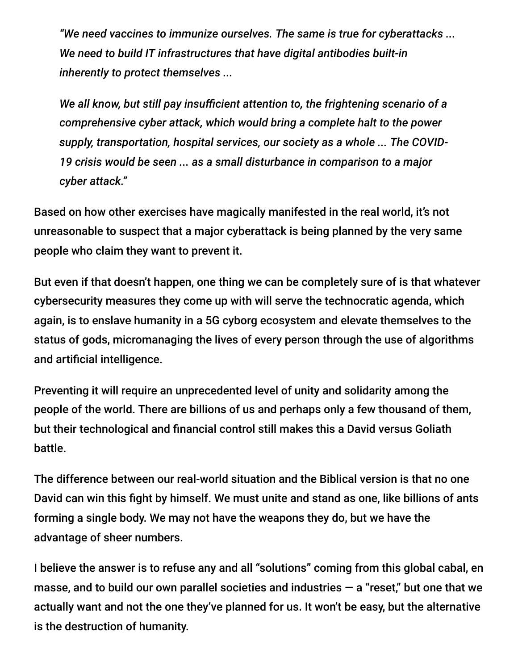*"We need vaccines to immunize ourselves. The same is true for cyberattacks ... We need to build IT infrastructures that have digital antibodies built-in inherently to protect themselves ...*

*We all know, but still pay insufficient attention to, the frightening scenario of a comprehensive cyber attack, which would bring a complete halt to the power supply, transportation, hospital services, our society as a whole ... The COVID-19 crisis would be seen ... as a small disturbance in comparison to a major cyber attack."*

Based on how other exercises have magically manifested in the real world, it's not unreasonable to suspect that a major cyberattack is being planned by the very same people who claim they want to prevent it.

But even if that doesn't happen, one thing we can be completely sure of is that whatever cybersecurity measures they come up with will serve the technocratic agenda, which again, is to enslave humanity in a 5G cyborg ecosystem and elevate themselves to the status of gods, micromanaging the lives of every person through the use of algorithms and artificial intelligence.

Preventing it will require an unprecedented level of unity and solidarity among the people of the world. There are billions of us and perhaps only a few thousand of them, but their technological and financial control still makes this a David versus Goliath battle.

The difference between our real-world situation and the Biblical version is that no one David can win this fight by himself. We must unite and stand as one, like billions of ants forming a single body. We may not have the weapons they do, but we have the advantage of sheer numbers.

I believe the answer is to refuse any and all "solutions" coming from this global cabal, en masse, and to build our own parallel societies and industries  $-$  a "reset," but one that we actually want and not the one they've planned for us. It won't be easy, but the alternative is the destruction of humanity.